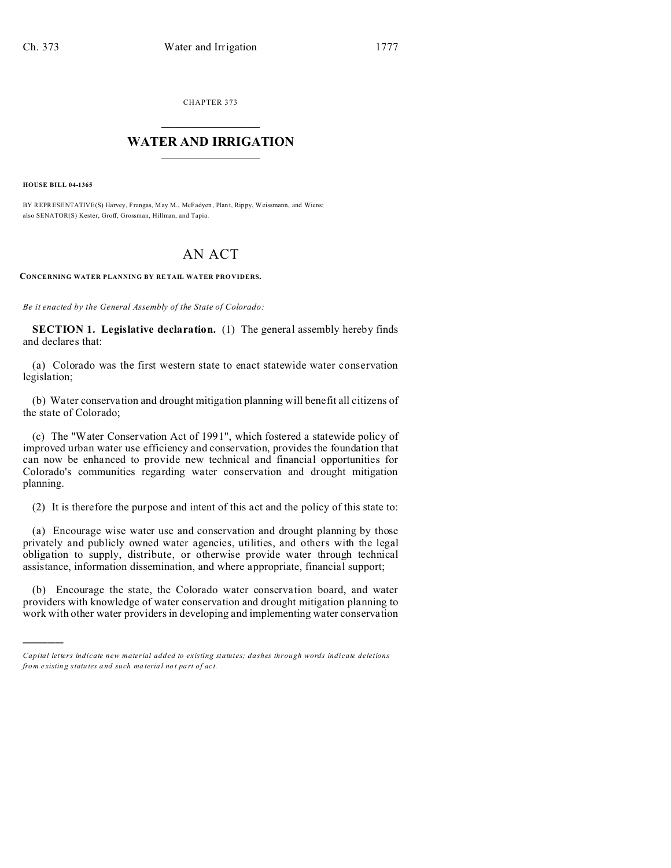CHAPTER 373  $\overline{\phantom{a}}$  , where  $\overline{\phantom{a}}$ 

## **WATER AND IRRIGATION**  $\_$   $\_$   $\_$   $\_$   $\_$   $\_$   $\_$   $\_$   $\_$

**HOUSE BILL 04-1365**

)))))

BY REPRESENTATIVE(S) Harvey, Frangas, May M., McFadyen , Plan t, Rippy, Weissmann, and Wiens; also SENATOR(S) Kester, Groff, Grossman, Hillman, and Tapia.

## AN ACT

**CONCERNING WATER PLANNING BY RE TAIL WATER PRO VIDERS.**

*Be it enacted by the General Assembly of the State of Colorado:*

**SECTION 1. Legislative declaration.** (1) The general assembly hereby finds and declares that:

(a) Colorado was the first western state to enact statewide water conservation legislation;

(b) Water conservation and drought mitigation planning will benefit all citizens of the state of Colorado;

(c) The "Water Conservation Act of 1991", which fostered a statewide policy of improved urban water use efficiency and conservation, provides the foundation that can now be enhanced to provide new technical and financial opportunities for Colorado's communities regarding water conservation and drought mitigation planning.

(2) It is therefore the purpose and intent of this act and the policy of this state to:

(a) Encourage wise water use and conservation and drought planning by those privately and publicly owned water agencies, utilities, and others with the legal obligation to supply, distribute, or otherwise provide water through technical assistance, information dissemination, and where appropriate, financial support;

(b) Encourage the state, the Colorado water conservation board, and water providers with knowledge of water conservation and drought mitigation planning to work with other water providers in developing and implementing water conservation

*Capital letters indicate new material added to existing statutes; dashes through words indicate deletions from e xistin g statu tes a nd such ma teria l no t pa rt of ac t.*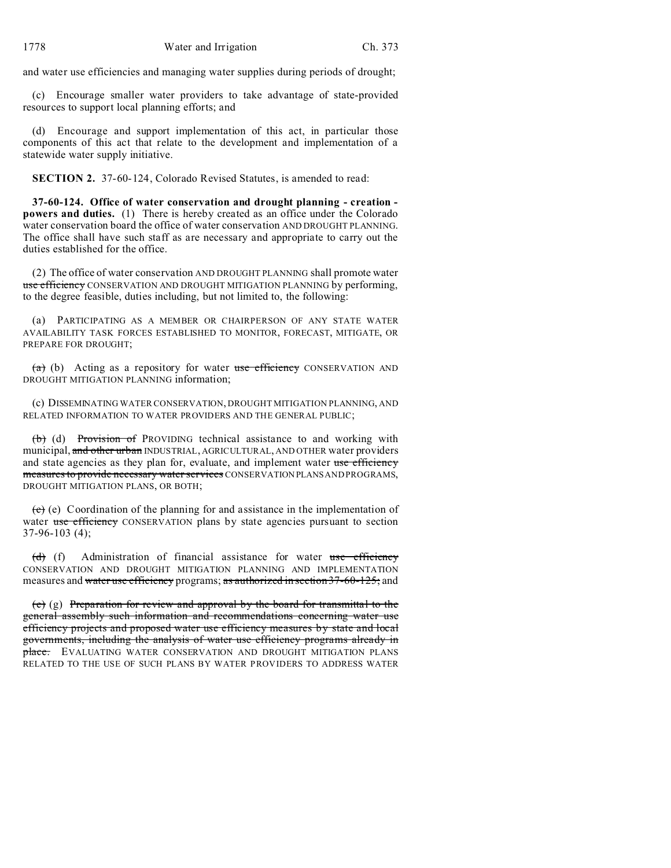and water use efficiencies and managing water supplies during periods of drought;

(c) Encourage smaller water providers to take advantage of state-provided resources to support local planning efforts; and

(d) Encourage and support implementation of this act, in particular those components of this act that relate to the development and implementation of a statewide water supply initiative.

**SECTION 2.** 37-60-124, Colorado Revised Statutes, is amended to read:

**37-60-124. Office of water conservation and drought planning - creation powers and duties.** (1) There is hereby created as an office under the Colorado water conservation board the office of water conservation AND DROUGHT PLANNING. The office shall have such staff as are necessary and appropriate to carry out the duties established for the office.

(2) The office of water conservation AND DROUGHT PLANNING shall promote water use efficiency CONSERVATION AND DROUGHT MITIGATION PLANNING by performing, to the degree feasible, duties including, but not limited to, the following:

(a) PARTICIPATING AS A MEMBER OR CHAIRPERSON OF ANY STATE WATER AVAILABILITY TASK FORCES ESTABLISHED TO MONITOR, FORECAST, MITIGATE, OR PREPARE FOR DROUGHT;

 $(a)$  (b) Acting as a repository for water use efficiency CONSERVATION AND DROUGHT MITIGATION PLANNING information;

(c) DISSEMINATING WATER CONSERVATION, DROUGHT MITIGATION PLANNING, AND RELATED INFORMATION TO WATER PROVIDERS AND THE GENERAL PUBLIC;

(b) (d) Provision of PROVIDING technical assistance to and working with municipal, and other urban INDUSTRIAL, AGRICULTURAL, AND OTHER water providers and state agencies as they plan for, evaluate, and implement water use efficiency measures to provide necessary water services CONSERVATION PLANS AND PROGRAMS, DROUGHT MITIGATION PLANS, OR BOTH;

 $(c)$  (e) Coordination of the planning for and assistance in the implementation of water use efficiency CONSERVATION plans by state agencies pursuant to section 37-96-103 (4);

 $(d)$  (f) Administration of financial assistance for water use efficiency CONSERVATION AND DROUGHT MITIGATION PLANNING AND IMPLEMENTATION measures and water use efficiency programs; as authorized in section 37-60-125; and

 $(e)$  (g) Preparation for review and approval by the board for transmittal to the general assembly such information and recommendations concerning water use efficiency projects and proposed water use efficiency measures by state and local governments, including the analysis of water use efficiency programs already in place. EVALUATING WATER CONSERVATION AND DROUGHT MITIGATION PLANS RELATED TO THE USE OF SUCH PLANS BY WATER PROVIDERS TO ADDRESS WATER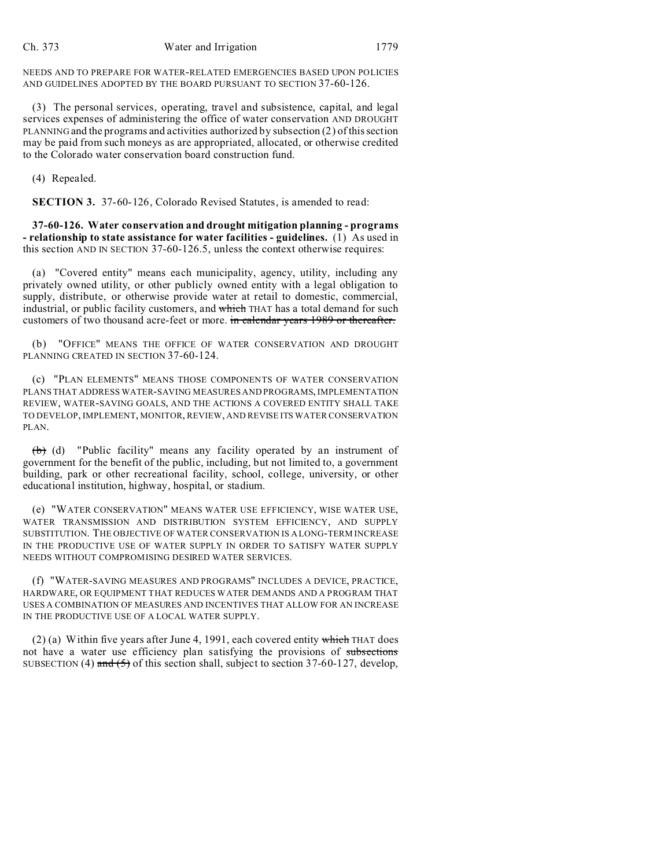NEEDS AND TO PREPARE FOR WATER-RELATED EMERGENCIES BASED UPON POLICIES AND GUIDELINES ADOPTED BY THE BOARD PURSUANT TO SECTION 37-60-126.

(3) The personal services, operating, travel and subsistence, capital, and legal services expenses of administering the office of water conservation AND DROUGHT PLANNING and the programs and activities authorized by subsection (2) of this section may be paid from such moneys as are appropriated, allocated, or otherwise credited to the Colorado water conservation board construction fund.

(4) Repealed.

**SECTION 3.** 37-60-126, Colorado Revised Statutes, is amended to read:

**37-60-126. Water conservation and drought mitigation planning - programs - relationship to state assistance for water facilities - guidelines.** (1) As used in this section AND IN SECTION 37-60-126.5, unless the context otherwise requires:

(a) "Covered entity" means each municipality, agency, utility, including any privately owned utility, or other publicly owned entity with a legal obligation to supply, distribute, or otherwise provide water at retail to domestic, commercial, industrial, or public facility customers, and which THAT has a total demand for such customers of two thousand acre-feet or more. in calendar years 1989 or thereafter.

"OFFICE" MEANS THE OFFICE OF WATER CONSERVATION AND DROUGHT PLANNING CREATED IN SECTION 37-60-124.

(c) "PLAN ELEMENTS" MEANS THOSE COMPONENTS OF WATER CONSERVATION PLANS THAT ADDRESS WATER-SAVING MEASURES AND PROGRAMS, IMPLEMENTATION REVIEW, WATER-SAVING GOALS, AND THE ACTIONS A COVERED ENTITY SHALL TAKE TO DEVELOP, IMPLEMENT, MONITOR, REVIEW, AND REVISE ITS WATER CONSERVATION PLAN.

(b) (d) "Public facility" means any facility operated by an instrument of government for the benefit of the public, including, but not limited to, a government building, park or other recreational facility, school, college, university, or other educational institution, highway, hospital, or stadium.

(e) "WATER CONSERVATION" MEANS WATER USE EFFICIENCY, WISE WATER USE, WATER TRANSMISSION AND DISTRIBUTION SYSTEM EFFICIENCY, AND SUPPLY SUBSTITUTION. THE OBJECTIVE OF WATER CONSERVATION IS A LONG-TERM INCREASE IN THE PRODUCTIVE USE OF WATER SUPPLY IN ORDER TO SATISFY WATER SUPPLY NEEDS WITHOUT COMPROMISING DESIRED WATER SERVICES.

(f) "WATER-SAVING MEASURES AND PROGRAMS" INCLUDES A DEVICE, PRACTICE, HARDWARE, OR EQUIPMENT THAT REDUCES WATER DEMANDS AND A PROGRAM THAT USES A COMBINATION OF MEASURES AND INCENTIVES THAT ALLOW FOR AN INCREASE IN THE PRODUCTIVE USE OF A LOCAL WATER SUPPLY.

(2) (a) Within five years after June 4, 1991, each covered entity which THAT does not have a water use efficiency plan satisfying the provisions of subsections SUBSECTION (4) and  $(5)$  of this section shall, subject to section 37-60-127, develop,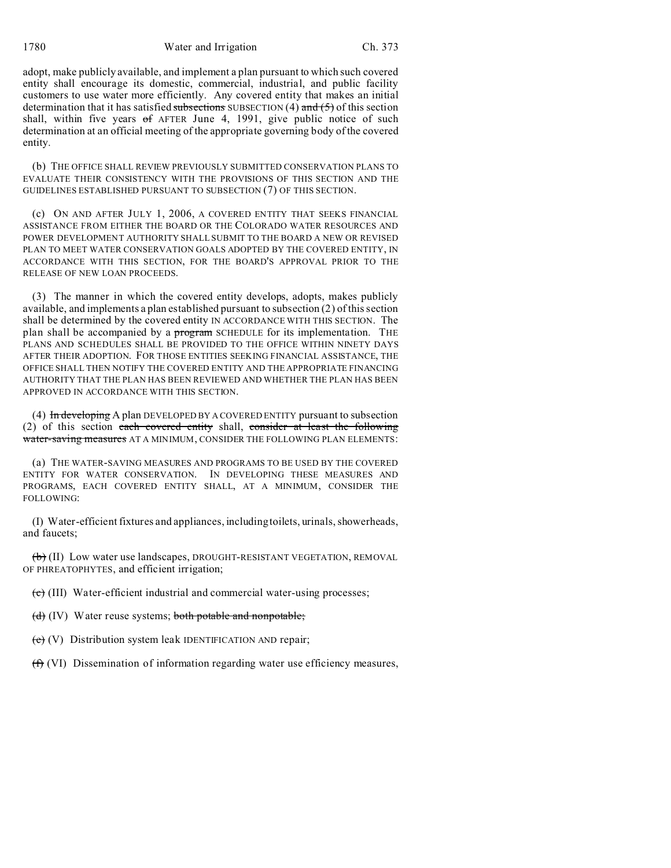1780 Water and Irrigation Ch. 373

adopt, make publicly available, and implement a plan pursuant to which such covered entity shall encourage its domestic, commercial, industrial, and public facility customers to use water more efficiently. Any covered entity that makes an initial determination that it has satisfied subsections SUBSECTION (4) and  $(5)$  of this section shall, within five years  $of$  AFTER June 4, 1991, give public notice of such determination at an official meeting of the appropriate governing body of the covered entity.

(b) THE OFFICE SHALL REVIEW PREVIOUSLY SUBMITTED CONSERVATION PLANS TO EVALUATE THEIR CONSISTENCY WITH THE PROVISIONS OF THIS SECTION AND THE GUIDELINES ESTABLISHED PURSUANT TO SUBSECTION (7) OF THIS SECTION.

(c) ON AND AFTER JULY 1, 2006, A COVERED ENTITY THAT SEEKS FINANCIAL ASSISTANCE FROM EITHER THE BOARD OR THE COLORADO WATER RESOURCES AND POWER DEVELOPMENT AUTHORITY SHALL SUBMIT TO THE BOARD A NEW OR REVISED PLAN TO MEET WATER CONSERVATION GOALS ADOPTED BY THE COVERED ENTITY, IN ACCORDANCE WITH THIS SECTION, FOR THE BOARD'S APPROVAL PRIOR TO THE RELEASE OF NEW LOAN PROCEEDS.

(3) The manner in which the covered entity develops, adopts, makes publicly available, and implements a plan established pursuant to subsection (2) of this section shall be determined by the covered entity IN ACCORDANCE WITH THIS SECTION. The plan shall be accompanied by a program SCHEDULE for its implementation. THE PLANS AND SCHEDULES SHALL BE PROVIDED TO THE OFFICE WITHIN NINETY DAYS AFTER THEIR ADOPTION. FOR THOSE ENTITIES SEEKING FINANCIAL ASSISTANCE, THE OFFICE SHALL THEN NOTIFY THE COVERED ENTITY AND THE APPROPRIATE FINANCING AUTHORITY THAT THE PLAN HAS BEEN REVIEWED AND WHETHER THE PLAN HAS BEEN APPROVED IN ACCORDANCE WITH THIS SECTION.

(4) In developing A plan DEVELOPED BY A COVERED ENTITY pursuant to subsection (2) of this section each covered entity shall, consider at least the following water-saving measures AT A MINIMUM, CONSIDER THE FOLLOWING PLAN ELEMENTS:

(a) THE WATER-SAVING MEASURES AND PROGRAMS TO BE USED BY THE COVERED ENTITY FOR WATER CONSERVATION. IN DEVELOPING THESE MEASURES AND PROGRAMS, EACH COVERED ENTITY SHALL, AT A MINIMUM, CONSIDER THE FOLLOWING:

(I) Water-efficient fixtures and appliances, including toilets, urinals, showerheads, and faucets;

 $(b)$  (II) Low water use landscapes, DROUGHT-RESISTANT VEGETATION, REMOVAL OF PHREATOPHYTES, and efficient irrigation;

 $\overline{(e)}$  (III) Water-efficient industrial and commercial water-using processes;

(d) (IV) Water reuse systems; both potable and nonpotable;

(e) (V) Distribution system leak IDENTIFICATION AND repair;

(f) (VI) Dissemination of information regarding water use efficiency measures,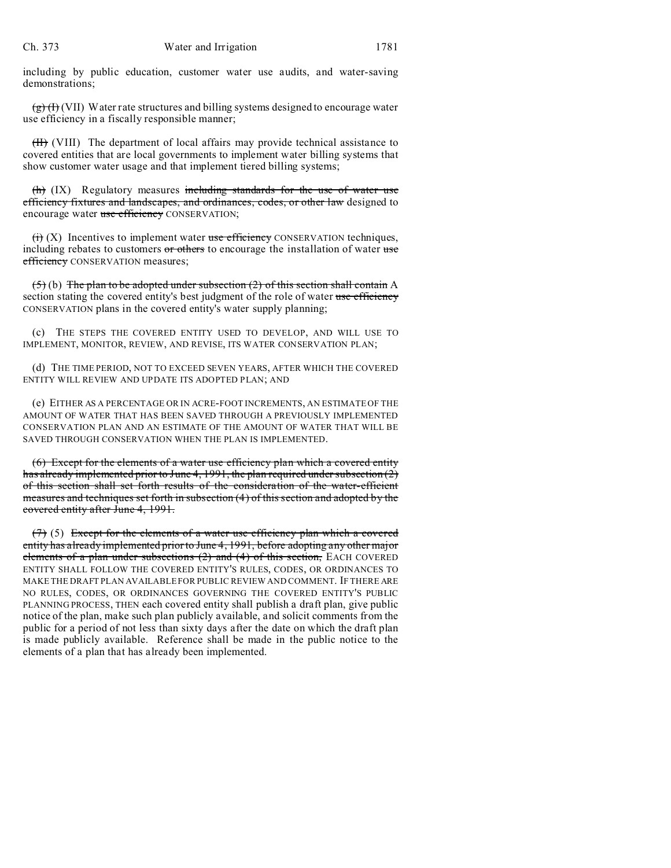including by public education, customer water use audits, and water-saving demonstrations;

 $\left(\frac{g}{g}\right)$  (VII) Water rate structures and billing systems designed to encourage water use efficiency in a fiscally responsible manner;

(II) (VIII) The department of local affairs may provide technical assistance to covered entities that are local governments to implement water billing systems that show customer water usage and that implement tiered billing systems;

 $(h)$  (IX) Regulatory measures including standards for the use of water use efficiency fixtures and landscapes, and ordinances, codes, or other law designed to encourage water use efficiency CONSERVATION;

 $\overrightarrow{(ii)}$  (X) Incentives to implement water use efficiency CONSERVATION techniques, including rebates to customers or others to encourage the installation of water use efficiency CONSERVATION measures;

 $(5)$  (b) The plan to be adopted under subsection (2) of this section shall contain A section stating the covered entity's best judgment of the role of water use efficiency CONSERVATION plans in the covered entity's water supply planning;

(c) THE STEPS THE COVERED ENTITY USED TO DEVELOP, AND WILL USE TO IMPLEMENT, MONITOR, REVIEW, AND REVISE, ITS WATER CONSERVATION PLAN;

(d) THE TIME PERIOD, NOT TO EXCEED SEVEN YEARS, AFTER WHICH THE COVERED ENTITY WILL REVIEW AND UPDATE ITS ADOPTED PLAN; AND

(e) EITHER AS A PERCENTAGE OR IN ACRE-FOOT INCREMENTS, AN ESTIMATE OF THE AMOUNT OF WATER THAT HAS BEEN SAVED THROUGH A PREVIOUSLY IMPLEMENTED CONSERVATION PLAN AND AN ESTIMATE OF THE AMOUNT OF WATER THAT WILL BE SAVED THROUGH CONSERVATION WHEN THE PLAN IS IMPLEMENTED.

(6) Except for the elements of a water use efficiency plan which a covered entity has already implemented prior to June 4, 1991, the plan required under subsection (2) of this section shall set forth results of the consideration of the water-efficient measures and techniques set forth in subsection (4) of this section and adopted by the covered entity after June 4, 1991.

 $(7)$  (5) Except for the elements of a water use efficiency plan which a covered entity has already implemented prior to June 4, 1991, before adopting any other major elements of a plan under subsections (2) and (4) of this section, EACH COVERED ENTITY SHALL FOLLOW THE COVERED ENTITY'S RULES, CODES, OR ORDINANCES TO MAKE THE DRAFT PLAN AVAILABLE FOR PUBLIC REVIEW AND COMMENT. IF THERE ARE NO RULES, CODES, OR ORDINANCES GOVERNING THE COVERED ENTITY'S PUBLIC PLANNING PROCESS, THEN each covered entity shall publish a draft plan, give public notice of the plan, make such plan publicly available, and solicit comments from the public for a period of not less than sixty days after the date on which the draft plan is made publicly available. Reference shall be made in the public notice to the elements of a plan that has already been implemented.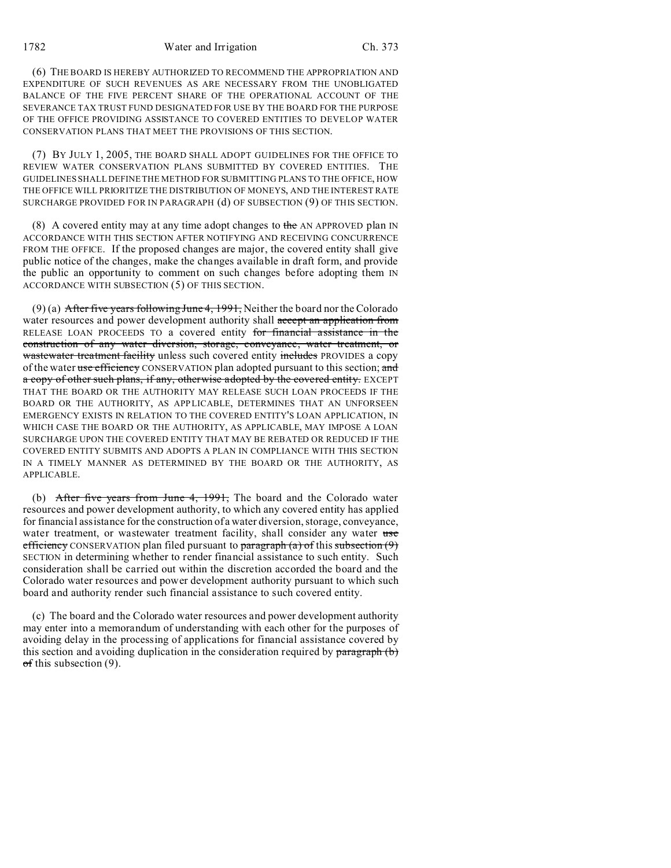1782 Water and Irrigation Ch. 373

(6) THE BOARD IS HEREBY AUTHORIZED TO RECOMMEND THE APPROPRIATION AND EXPENDITURE OF SUCH REVENUES AS ARE NECESSARY FROM THE UNOBLIGATED BALANCE OF THE FIVE PERCENT SHARE OF THE OPERATIONAL ACCOUNT OF THE SEVERANCE TAX TRUST FUND DESIGNATED FOR USE BY THE BOARD FOR THE PURPOSE OF THE OFFICE PROVIDING ASSISTANCE TO COVERED ENTITIES TO DEVELOP WATER CONSERVATION PLANS THAT MEET THE PROVISIONS OF THIS SECTION.

(7) BY JULY 1, 2005, THE BOARD SHALL ADOPT GUIDELINES FOR THE OFFICE TO REVIEW WATER CONSERVATION PLANS SUBMITTED BY COVERED ENTITIES. THE GUIDELINES SHALL DEFINE THE METHOD FOR SUBMITTING PLANS TO THE OFFICE, HOW THE OFFICE WILL PRIORITIZE THE DISTRIBUTION OF MONEYS, AND THE INTEREST RATE SURCHARGE PROVIDED FOR IN PARAGRAPH (d) OF SUBSECTION (9) OF THIS SECTION.

(8) A covered entity may at any time adopt changes to the AN APPROVED plan IN ACCORDANCE WITH THIS SECTION AFTER NOTIFYING AND RECEIVING CONCURRENCE FROM THE OFFICE. If the proposed changes are major, the covered entity shall give public notice of the changes, make the changes available in draft form, and provide the public an opportunity to comment on such changes before adopting them IN ACCORDANCE WITH SUBSECTION (5) OF THIS SECTION.

(9) (a) After five years following June 4, 1991, Neither the board nor the Colorado water resources and power development authority shall accept an application from RELEASE LOAN PROCEEDS TO a covered entity for financial assistance in the construction of any water diversion, storage, conveyance, water treatment, or wastewater treatment facility unless such covered entity includes PROVIDES a copy of the water use efficiency CONSERVATION plan adopted pursuant to this section; and a copy of other such plans, if any, otherwise adopted by the covered entity. EXCEPT THAT THE BOARD OR THE AUTHORITY MAY RELEASE SUCH LOAN PROCEEDS IF THE BOARD OR THE AUTHORITY, AS APPLICABLE, DETERMINES THAT AN UNFORSEEN EMERGENCY EXISTS IN RELATION TO THE COVERED ENTITY'S LOAN APPLICATION, IN WHICH CASE THE BOARD OR THE AUTHORITY, AS APPLICABLE, MAY IMPOSE A LOAN SURCHARGE UPON THE COVERED ENTITY THAT MAY BE REBATED OR REDUCED IF THE COVERED ENTITY SUBMITS AND ADOPTS A PLAN IN COMPLIANCE WITH THIS SECTION IN A TIMELY MANNER AS DETERMINED BY THE BOARD OR THE AUTHORITY, AS APPLICABLE.

(b) After five years from June 4, 1991, The board and the Colorado water resources and power development authority, to which any covered entity has applied for financial assistance for the construction of a water diversion, storage, conveyance, water treatment, or wastewater treatment facility, shall consider any water use efficiency CONSERVATION plan filed pursuant to paragraph  $(a)$  of this subsection  $(9)$ SECTION in determining whether to render financial assistance to such entity. Such consideration shall be carried out within the discretion accorded the board and the Colorado water resources and power development authority pursuant to which such board and authority render such financial assistance to such covered entity.

(c) The board and the Colorado water resources and power development authority may enter into a memorandum of understanding with each other for the purposes of avoiding delay in the processing of applications for financial assistance covered by this section and avoiding duplication in the consideration required by  $\frac{\partial^2 f}{\partial x^2}$  $\sigma$ f this subsection (9).